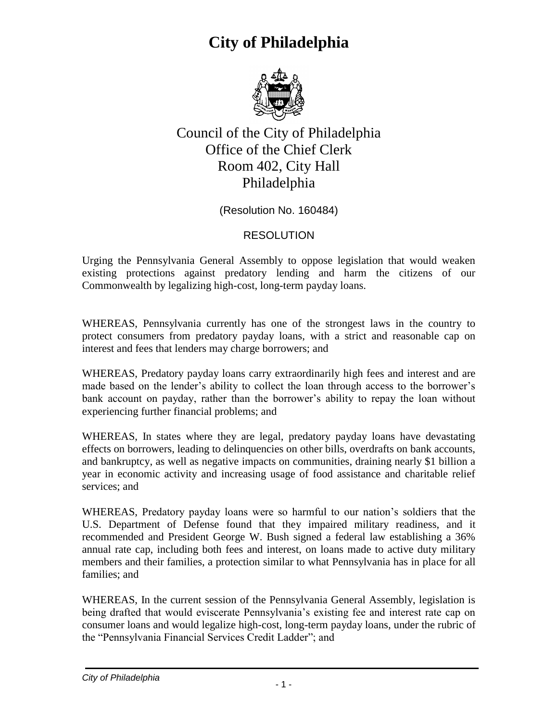

#### Council of the City of Philadelphia Office of the Chief Clerk Room 402, City Hall Philadelphia

(Resolution No. 160484)

#### RESOLUTION

Urging the Pennsylvania General Assembly to oppose legislation that would weaken existing protections against predatory lending and harm the citizens of our Commonwealth by legalizing high-cost, long-term payday loans.

WHEREAS, Pennsylvania currently has one of the strongest laws in the country to protect consumers from predatory payday loans, with a strict and reasonable cap on interest and fees that lenders may charge borrowers; and

WHEREAS, Predatory payday loans carry extraordinarily high fees and interest and are made based on the lender's ability to collect the loan through access to the borrower's bank account on payday, rather than the borrower's ability to repay the loan without experiencing further financial problems; and

WHEREAS, In states where they are legal, predatory payday loans have devastating effects on borrowers, leading to delinquencies on other bills, overdrafts on bank accounts, and bankruptcy, as well as negative impacts on communities, draining nearly \$1 billion a year in economic activity and increasing usage of food assistance and charitable relief services; and

WHEREAS, Predatory payday loans were so harmful to our nation's soldiers that the U.S. Department of Defense found that they impaired military readiness, and it recommended and President George W. Bush signed a federal law establishing a 36% annual rate cap, including both fees and interest, on loans made to active duty military members and their families, a protection similar to what Pennsylvania has in place for all families; and

WHEREAS, In the current session of the Pennsylvania General Assembly, legislation is being drafted that would eviscerate Pennsylvania's existing fee and interest rate cap on consumer loans and would legalize high-cost, long-term payday loans, under the rubric of the "Pennsylvania Financial Services Credit Ladder"; and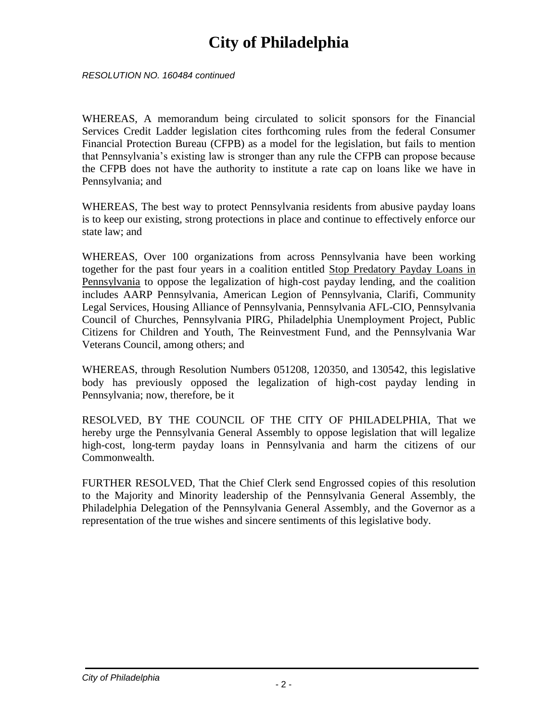*RESOLUTION NO. 160484 continued*

WHEREAS, A memorandum being circulated to solicit sponsors for the Financial Services Credit Ladder legislation cites forthcoming rules from the federal Consumer Financial Protection Bureau (CFPB) as a model for the legislation, but fails to mention that Pennsylvania's existing law is stronger than any rule the CFPB can propose because the CFPB does not have the authority to institute a rate cap on loans like we have in Pennsylvania; and

WHEREAS, The best way to protect Pennsylvania residents from abusive payday loans is to keep our existing, strong protections in place and continue to effectively enforce our state law; and

WHEREAS, Over 100 organizations from across Pennsylvania have been working together for the past four years in a coalition entitled Stop Predatory Payday Loans in Pennsylvania to oppose the legalization of high-cost payday lending, and the coalition includes AARP Pennsylvania, American Legion of Pennsylvania, Clarifi, Community Legal Services, Housing Alliance of Pennsylvania, Pennsylvania AFL-CIO, Pennsylvania Council of Churches, Pennsylvania PIRG, Philadelphia Unemployment Project, Public Citizens for Children and Youth, The Reinvestment Fund, and the Pennsylvania War Veterans Council, among others; and

WHEREAS, through Resolution Numbers 051208, 120350, and 130542, this legislative body has previously opposed the legalization of high-cost payday lending in Pennsylvania; now, therefore, be it

RESOLVED, BY THE COUNCIL OF THE CITY OF PHILADELPHIA, That we hereby urge the Pennsylvania General Assembly to oppose legislation that will legalize high-cost, long-term payday loans in Pennsylvania and harm the citizens of our Commonwealth.

FURTHER RESOLVED, That the Chief Clerk send Engrossed copies of this resolution to the Majority and Minority leadership of the Pennsylvania General Assembly, the Philadelphia Delegation of the Pennsylvania General Assembly, and the Governor as a representation of the true wishes and sincere sentiments of this legislative body.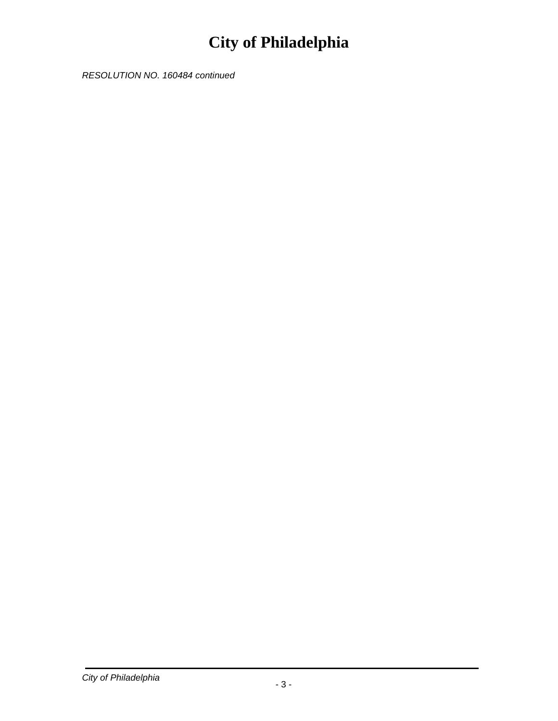*RESOLUTION NO. 160484 continued*